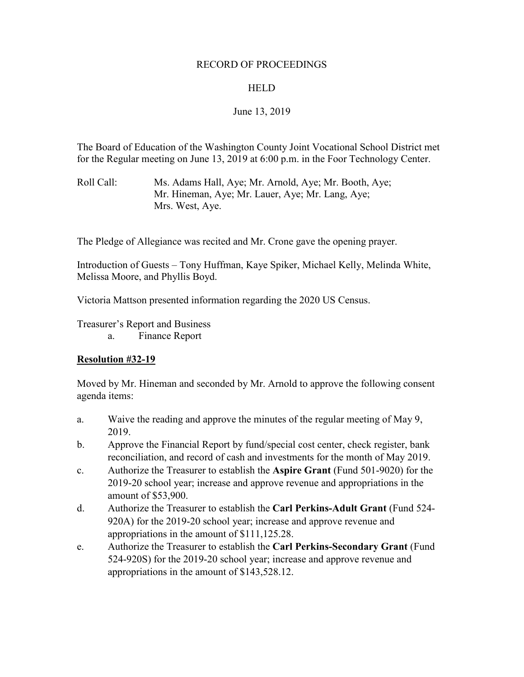#### RECORD OF PROCEEDINGS

#### **HELD**

# June 13, 2019

The Board of Education of the Washington County Joint Vocational School District met for the Regular meeting on June 13, 2019 at 6:00 p.m. in the Foor Technology Center.

Roll Call: Ms. Adams Hall, Aye; Mr. Arnold, Aye; Mr. Booth, Aye; Mr. Hineman, Aye; Mr. Lauer, Aye; Mr. Lang, Aye; Mrs. West, Aye.

The Pledge of Allegiance was recited and Mr. Crone gave the opening prayer.

Introduction of Guests – Tony Huffman, Kaye Spiker, Michael Kelly, Melinda White, Melissa Moore, and Phyllis Boyd.

Victoria Mattson presented information regarding the 2020 US Census.

Treasurer's Report and Business

a. Finance Report

# **Resolution #32-19**

Moved by Mr. Hineman and seconded by Mr. Arnold to approve the following consent agenda items:

- a. Waive the reading and approve the minutes of the regular meeting of May 9, 2019.
- b. Approve the Financial Report by fund/special cost center, check register, bank reconciliation, and record of cash and investments for the month of May 2019.
- c. Authorize the Treasurer to establish the **Aspire Grant** (Fund 501-9020) for the 2019-20 school year; increase and approve revenue and appropriations in the amount of \$53,900.
- d. Authorize the Treasurer to establish the **Carl Perkins-Adult Grant** (Fund 524- 920A) for the 2019-20 school year; increase and approve revenue and appropriations in the amount of \$111,125.28.
- e. Authorize the Treasurer to establish the **Carl Perkins-Secondary Grant** (Fund 524-920S) for the 2019-20 school year; increase and approve revenue and appropriations in the amount of \$143,528.12.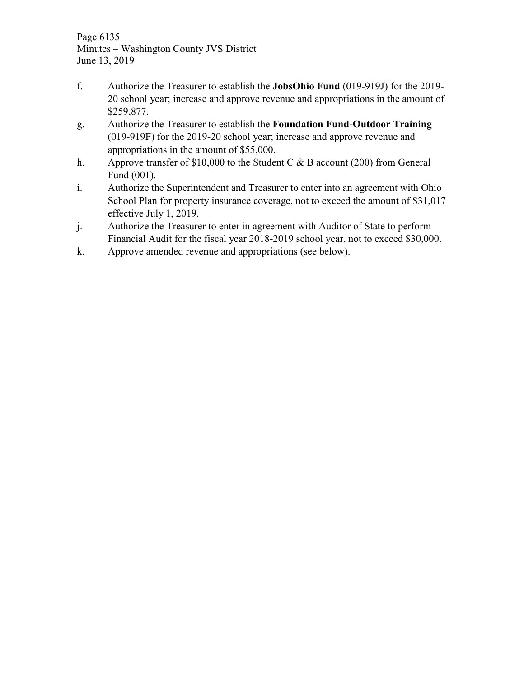Page 6135 Minutes – Washington County JVS District June 13, 2019

- f. Authorize the Treasurer to establish the **JobsOhio Fund** (019-919J) for the 2019- 20 school year; increase and approve revenue and appropriations in the amount of \$259,877.
- g. Authorize the Treasurer to establish the **Foundation Fund-Outdoor Training** (019-919F) for the 2019-20 school year; increase and approve revenue and appropriations in the amount of \$55,000.
- h. Approve transfer of \$10,000 to the Student C & B account (200) from General Fund (001).
- i. Authorize the Superintendent and Treasurer to enter into an agreement with Ohio School Plan for property insurance coverage, not to exceed the amount of \$31,017 effective July 1, 2019.
- j. Authorize the Treasurer to enter in agreement with Auditor of State to perform Financial Audit for the fiscal year 2018-2019 school year, not to exceed \$30,000.
- k. Approve amended revenue and appropriations (see below).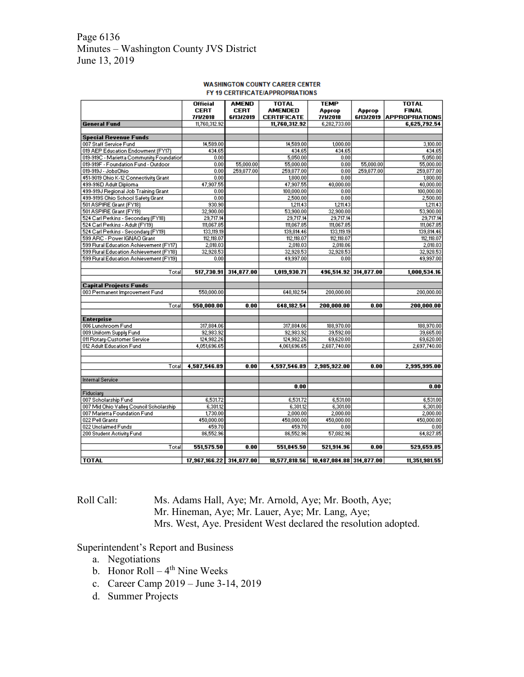## Page 6136 Minutes – Washington County JVS District June 13, 2019

#### **WASHINGTON COUNTY CAREER CENTER** FY 19 CERTIFICATE/APPROPRIATIONS

|                                          | <b>Official</b>          | <b>AMEND</b> | <b>TOTAL</b>       | <b>TEMP</b>              |                       | <b>TOTAL</b>          |
|------------------------------------------|--------------------------|--------------|--------------------|--------------------------|-----------------------|-----------------------|
|                                          | <b>CERT</b>              | <b>CERT</b>  | <b>AMENDED</b>     | Approp                   | Approp                | <b>FINAL</b>          |
|                                          | 7/1/2018                 | 6/13/2019    | <b>CERTIFICATE</b> | 7/1/2018                 | 6/13/2019             | <b>APPROPRIATIONS</b> |
| <b>General Fund</b>                      | 11,760,312.92            |              | 11,760,312.92      | 6,282,733.00             |                       | 6.625.792.54          |
| <b>Special Revenue Funds</b>             |                          |              |                    |                          |                       |                       |
| 007 Staff Service Fund                   | 14,589.00                |              | 14,589.00          | 1,000.00                 |                       | 3,100.00              |
| 019 AEP Education Endowment (FY17)       | 434.65                   |              | 434.65             | 434.65                   |                       | 434.65                |
| 019-919C - Marietta Community Foundation | 0.00                     |              | 5,050.00           | 0.00                     |                       | 5,050.00              |
| 019-919F - Foundation Fund - Outdoor     | 0.00                     | 55,000.00    | 55,000.00          | 0.00                     | 55,000.00             | 55,000.00             |
| 019-919J - JobsOhio                      | 0.00                     | 259,877.00   | 259,877.00         | 0.00                     | 259,877.00            | 259,877.00            |
| 451-9019 Ohio K-12 Connectivity Grant    | 0.00                     |              | 1,800.00           | 0.00                     |                       | 1,800.00              |
| 499-916D Adult Diploma                   | 47,907.55                |              | 47,907.55          | 40,000.00                |                       | 40,000.00             |
| 499-919J Regional Job Training Grant     | 0.00                     |              | 100,000.00         | 0.00                     |                       | 100,000.00            |
| 499-919S Ohio School Safety Grant        | 0.00                     |              | 2,500.00           | 0.00                     |                       | 2,500.00              |
| 501 ASPIRE Grant (FY18)                  | 930.90                   |              | 1,211.43           | 1,211.43                 |                       | 1,211.43              |
| 501 ASPIRE Grant (FY19)                  | 32,900.00                |              | 53,900.00          | 32,900.00                |                       | 53,900.00             |
| 524 Carl Perkins - Secondary (FY18)      | 29,717.14                |              | 29,717.14          | 29,717.14                |                       | 29,717.14             |
| 524 Carl Perkins - Adult (FY19)          | 111,067.85               |              | 111,067.85         | 111,067.85               |                       | 111,067.85            |
| 524 Carl Perkins - Secondary (FY19)      | 133,119.19               |              | 139,814.46         | 133,119.19               |                       | 139,814.46            |
| 599 ARC - Power IGNAO Grant              | 112,118.07               |              | 112,118.07         | 112,118.07               |                       | 112,118.07            |
| 599 Rural Education Achievement (FY17)   | 2,018.03                 |              | 2,018.03           | 2,018.06                 |                       | 2,018.03              |
| 599 Rural Education Achievement (FY18)   | 32,928.53                |              | 32,928.53          | 32,928.53                |                       | 32,928.53             |
| 599 Rural Education Achievement (FY19)   | 0.00                     |              | 49,997.00          | 0.00                     |                       | 49,997.00             |
|                                          |                          |              |                    |                          |                       |                       |
| Total                                    | 517,730.91               | 314,877.00   | 1,019,930.71       |                          | 496,514.92 314,877.00 | 1,000,534.16          |
|                                          |                          |              |                    |                          |                       |                       |
| <b>Capital Projects Funds</b>            |                          |              |                    |                          |                       |                       |
| 003 Permanent Improvement Fund           | 550,000.00               |              | 648,182.54         | 200,000.00               |                       | 200,000.00            |
|                                          |                          |              |                    |                          |                       |                       |
| Total                                    | 550,000.00               | 0.00         | 648,182.54         | 200,000.00               | 0.00                  | 200,000.00            |
| <b>Enterprise</b>                        |                          |              |                    |                          |                       |                       |
| 006 Lunchroom Fund                       | 317,884.06               |              | 317,884.06         | 188,970.00               |                       | 188,970.00            |
| 009 Uniform Supply Fund                  | 92,983.92                |              | 92,983.92          | 39,592.00                |                       | 39,665.00             |
| 011 Rotary-Customer Service              | 124,982.26               |              | 124,982.26         | 69,620.00                |                       | 69,620.00             |
| 012 Adult Education Fund                 | 4,051,696.65             |              | 4,061,696.65       | 2,687,740.00             |                       | 2,697,740.00          |
|                                          |                          |              |                    |                          |                       |                       |
| Total                                    | 4,587,546.89             | 0.00         | 4,597,546.89       | 2,985,922.00             | 0.00                  | 2,995,995.00          |
| <b>Internal Service</b>                  |                          |              |                    |                          |                       |                       |
|                                          |                          |              | 0.00               |                          |                       | 0.00                  |
| Fiduciary                                |                          |              |                    |                          |                       |                       |
| 007 Scholarship Fund                     | 6,531.72                 |              | 6,531.72           | 6,531.00                 |                       | 6,531.00              |
| 007 Mid Ohio Valley Council Scholarship  | 6,301.12                 |              | 6,301.12           | 6,301.00                 |                       | 6,301.00              |
| 007 Marietta Foundation Fund             | 1,730.00                 |              | 2,000.00           | 2,000.00                 |                       | 2,000.00              |
| 022 Pell Grants                          | 450,000.00               |              | 450,000.00         | 450,000.00               |                       | 450,000.00            |
| 022 Unclaimed Funds                      | 459.70                   |              | 459.70             | 0.00                     |                       | 0.00                  |
| 200 Student Activity Fund                | 86,552.96                |              | 86,552.96          | 57,082.96                |                       | 64,827.85             |
|                                          |                          |              |                    |                          |                       |                       |
| Total                                    | 551,575.50               | 0.00         | 551,845.50         | 521,914.96               | 0.00                  | 529,659.85            |
| <b>TOTAL</b>                             | 17,967,166.22 314,877.00 |              | 18,577,818.56      | 10,487,084.88 314,877.00 |                       | 11,351,981.55         |

Roll Call: Ms. Adams Hall, Aye; Mr. Arnold, Aye; Mr. Booth, Aye; Mr. Hineman, Aye; Mr. Lauer, Aye; Mr. Lang, Aye; Mrs. West, Aye. President West declared the resolution adopted.

# Superintendent's Report and Business

- a. Negotiations
- b. Honor Roll  $4<sup>th</sup>$  Nine Weeks
- c. Career Camp 2019 June 3-14, 2019
- d. Summer Projects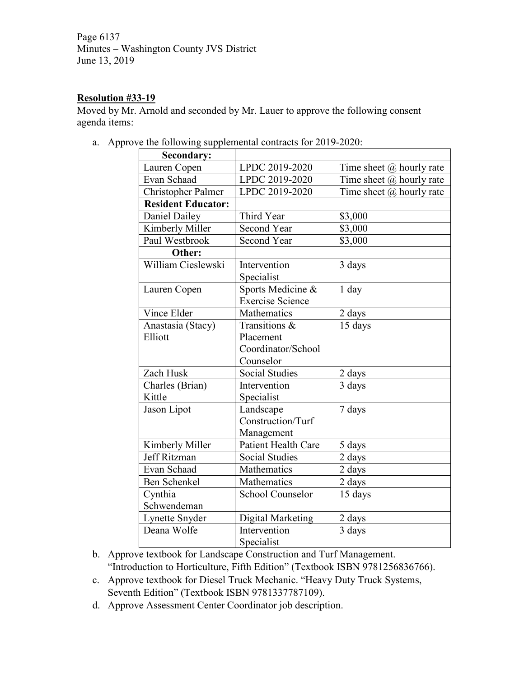Page 6137 Minutes – Washington County JVS District June 13, 2019

# **Resolution #33-19**

Moved by Mr. Arnold and seconded by Mr. Lauer to approve the following consent agenda items:

a. Approve the following supplemental contracts for 2019-2020:

| <b>Secondary:</b>         |                         |                                 |
|---------------------------|-------------------------|---------------------------------|
| Lauren Copen              | LPDC 2019-2020          | Time sheet $\omega$ hourly rate |
| Evan Schaad               | LPDC 2019-2020          | Time sheet @ hourly rate        |
| <b>Christopher Palmer</b> | LPDC 2019-2020          | Time sheet $\omega$ hourly rate |
| <b>Resident Educator:</b> |                         |                                 |
| Daniel Dailey             | Third Year              | \$3,000                         |
| Kimberly Miller           | <b>Second Year</b>      | \$3,000                         |
| Paul Westbrook            | <b>Second Year</b>      | \$3,000                         |
| Other:                    |                         |                                 |
| William Cieslewski        | Intervention            | 3 days                          |
|                           | Specialist              |                                 |
| Lauren Copen              | Sports Medicine &       | $1$ day                         |
|                           | <b>Exercise Science</b> |                                 |
| Vince Elder               | Mathematics             | 2 days                          |
| Anastasia (Stacy)         | Transitions &           | 15 days                         |
| Elliott                   | Placement               |                                 |
|                           | Coordinator/School      |                                 |
|                           | Counselor               |                                 |
| Zach Husk                 | Social Studies          | 2 days                          |
| Charles (Brian)           | Intervention            | 3 days                          |
| Kittle                    | Specialist              |                                 |
| Jason Lipot               | Landscape               | 7 days                          |
|                           | Construction/Turf       |                                 |
|                           | Management              |                                 |
| Kimberly Miller           | Patient Health Care     | 5 days                          |
| Jeff Ritzman              | <b>Social Studies</b>   | 2 days                          |
| Evan Schaad               | Mathematics             | 2 days                          |
| Ben Schenkel              | Mathematics             | 2 days                          |
| Cynthia                   | <b>School Counselor</b> | 15 days                         |
| Schwendeman               |                         |                                 |
| Lynette Snyder            | Digital Marketing       | 2 days                          |
| Deana Wolfe               | Intervention            | 3 days                          |
|                           | Specialist              |                                 |

- b. Approve textbook for Landscape Construction and Turf Management. "Introduction to Horticulture, Fifth Edition" (Textbook ISBN 9781256836766).
- c. Approve textbook for Diesel Truck Mechanic. "Heavy Duty Truck Systems, Seventh Edition" (Textbook ISBN 9781337787109).
- d. Approve Assessment Center Coordinator job description.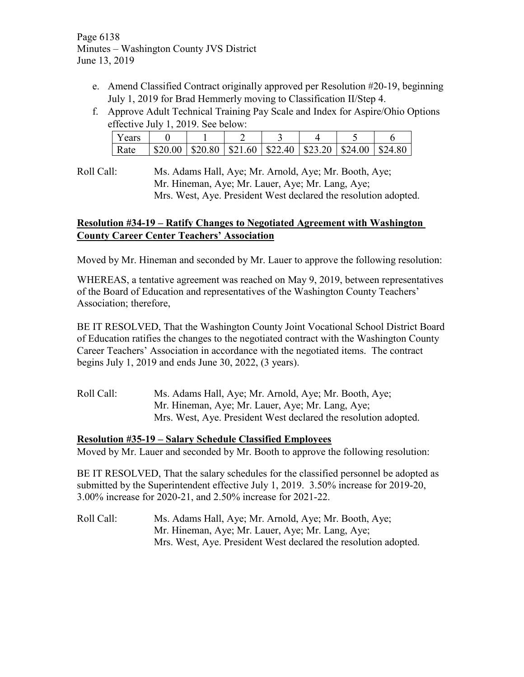Page 6138 Minutes – Washington County JVS District June 13, 2019

- e. Amend Classified Contract originally approved per Resolution #20-19, beginning July 1, 2019 for Brad Hemmerly moving to Classification II/Step 4.
- f. Approve Adult Technical Training Pay Scale and Index for Aspire/Ohio Options effective July 1, 2019. See below:

| Years |                                                                                                                 |  |  |  |
|-------|-----------------------------------------------------------------------------------------------------------------|--|--|--|
| Rate  | $\vert$ \$20.00 $\vert$ \$20.80 $\vert$ \$21.60 $\vert$ \$22.40 $\vert$ \$23.20 $\vert$ \$24.00 $\vert$ \$24.80 |  |  |  |

Roll Call: Ms. Adams Hall, Aye; Mr. Arnold, Aye; Mr. Booth, Aye; Mr. Hineman, Aye; Mr. Lauer, Aye; Mr. Lang, Aye; Mrs. West, Aye. President West declared the resolution adopted.

# **Resolution #34-19 – Ratify Changes to Negotiated Agreement with Washington County Career Center Teachers' Association**

Moved by Mr. Hineman and seconded by Mr. Lauer to approve the following resolution:

WHEREAS, a tentative agreement was reached on May 9, 2019, between representatives of the Board of Education and representatives of the Washington County Teachers' Association; therefore,

BE IT RESOLVED, That the Washington County Joint Vocational School District Board of Education ratifies the changes to the negotiated contract with the Washington County Career Teachers' Association in accordance with the negotiated items. The contract begins July 1, 2019 and ends June 30, 2022, (3 years).

Roll Call: Ms. Adams Hall, Aye; Mr. Arnold, Aye; Mr. Booth, Aye; Mr. Hineman, Aye; Mr. Lauer, Aye; Mr. Lang, Aye; Mrs. West, Aye. President West declared the resolution adopted.

# **Resolution #35-19 – Salary Schedule Classified Employees**

Moved by Mr. Lauer and seconded by Mr. Booth to approve the following resolution:

BE IT RESOLVED, That the salary schedules for the classified personnel be adopted as submitted by the Superintendent effective July 1, 2019. 3.50% increase for 2019-20, 3.00% increase for 2020-21, and 2.50% increase for 2021-22.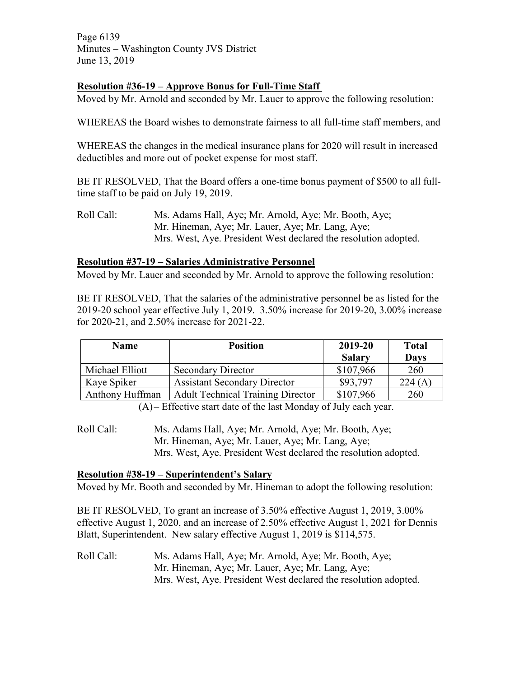Page 6139 Minutes – Washington County JVS District June 13, 2019

# **Resolution #36-19 – Approve Bonus for Full-Time Staff**

Moved by Mr. Arnold and seconded by Mr. Lauer to approve the following resolution:

WHEREAS the Board wishes to demonstrate fairness to all full-time staff members, and

WHEREAS the changes in the medical insurance plans for 2020 will result in increased deductibles and more out of pocket expense for most staff.

BE IT RESOLVED, That the Board offers a one-time bonus payment of \$500 to all fulltime staff to be paid on July 19, 2019.

Roll Call: Ms. Adams Hall, Aye; Mr. Arnold, Aye; Mr. Booth, Aye; Mr. Hineman, Aye; Mr. Lauer, Aye; Mr. Lang, Aye; Mrs. West, Aye. President West declared the resolution adopted.

#### **Resolution #37-19 – Salaries Administrative Personnel**

Moved by Mr. Lauer and seconded by Mr. Arnold to approve the following resolution:

BE IT RESOLVED, That the salaries of the administrative personnel be as listed for the 2019-20 school year effective July 1, 2019. 3.50% increase for 2019-20, 3.00% increase for 2020-21, and 2.50% increase for 2021-22.

| <b>Name</b>     | <b>Position</b>                          | 2019-20       | <b>Total</b> |
|-----------------|------------------------------------------|---------------|--------------|
|                 |                                          | <b>Salary</b> | <b>Days</b>  |
| Michael Elliott | <b>Secondary Director</b>                | \$107,966     | 260          |
| Kaye Spiker     | <b>Assistant Secondary Director</b>      | \$93,797      | 224 (A       |
| Anthony Huffman | <b>Adult Technical Training Director</b> | \$107,966     | 260          |

(A)– Effective start date of the last Monday of July each year.

Roll Call: Ms. Adams Hall, Aye; Mr. Arnold, Aye; Mr. Booth, Aye; Mr. Hineman, Aye; Mr. Lauer, Aye; Mr. Lang, Aye; Mrs. West, Aye. President West declared the resolution adopted.

#### **Resolution #38-19 – Superintendent's Salary**

Moved by Mr. Booth and seconded by Mr. Hineman to adopt the following resolution:

BE IT RESOLVED, To grant an increase of 3.50% effective August 1, 2019, 3.00% effective August 1, 2020, and an increase of 2.50% effective August 1, 2021 for Dennis Blatt, Superintendent. New salary effective August 1, 2019 is \$114,575.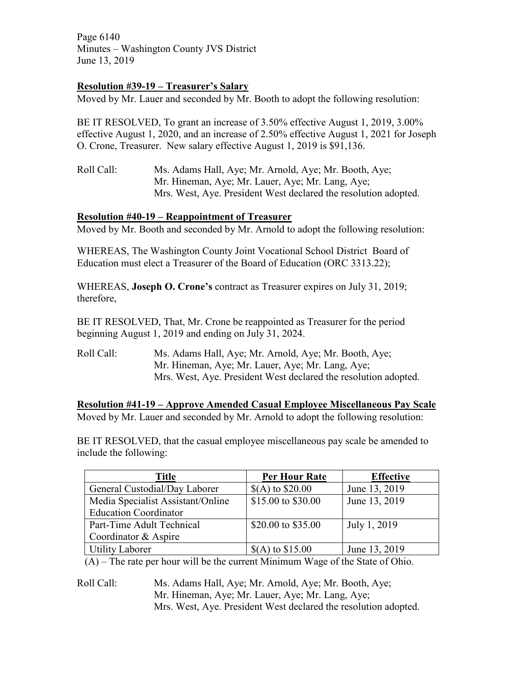Page 6140 Minutes – Washington County JVS District June 13, 2019

# **Resolution #39-19 – Treasurer's Salary**

Moved by Mr. Lauer and seconded by Mr. Booth to adopt the following resolution:

BE IT RESOLVED, To grant an increase of 3.50% effective August 1, 2019, 3.00% effective August 1, 2020, and an increase of 2.50% effective August 1, 2021 for Joseph O. Crone, Treasurer. New salary effective August 1, 2019 is \$91,136.

Roll Call: Ms. Adams Hall, Aye; Mr. Arnold, Aye; Mr. Booth, Aye; Mr. Hineman, Aye; Mr. Lauer, Aye; Mr. Lang, Aye; Mrs. West, Aye. President West declared the resolution adopted.

## **Resolution #40-19 – Reappointment of Treasurer**

Moved by Mr. Booth and seconded by Mr. Arnold to adopt the following resolution:

WHEREAS, The Washington County Joint Vocational School District Board of Education must elect a Treasurer of the Board of Education (ORC 3313.22);

WHEREAS, **Joseph O. Crone's** contract as Treasurer expires on July 31, 2019; therefore,

BE IT RESOLVED, That, Mr. Crone be reappointed as Treasurer for the period beginning August 1, 2019 and ending on July 31, 2024.

Roll Call: Ms. Adams Hall, Aye; Mr. Arnold, Aye; Mr. Booth, Aye; Mr. Hineman, Aye; Mr. Lauer, Aye; Mr. Lang, Aye; Mrs. West, Aye. President West declared the resolution adopted.

**Resolution #41-19 – Approve Amended Casual Employee Miscellaneous Pay Scale** Moved by Mr. Lauer and seconded by Mr. Arnold to adopt the following resolution:

BE IT RESOLVED, that the casual employee miscellaneous pay scale be amended to include the following:

| Title                             | <b>Per Hour Rate</b> | <b>Effective</b> |
|-----------------------------------|----------------------|------------------|
| General Custodial/Day Laborer     | $$(A)$ to $$20.00$   | June 13, 2019    |
| Media Specialist Assistant/Online | \$15.00 to \$30.00   | June 13, 2019    |
| <b>Education Coordinator</b>      |                      |                  |
| Part-Time Adult Technical         | \$20.00 to \$35.00   | July 1, 2019     |
| Coordinator & Aspire              |                      |                  |
| <b>Utility Laborer</b>            | $$(A)$ to $$15.00$   | June 13, 2019    |

(A) – The rate per hour will be the current Minimum Wage of the State of Ohio.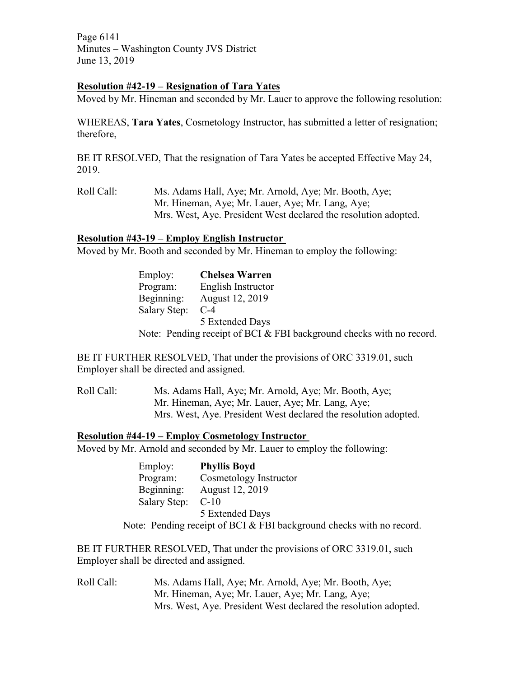Page 6141 Minutes – Washington County JVS District June 13, 2019

#### **Resolution #42-19 – Resignation of Tara Yates**

Moved by Mr. Hineman and seconded by Mr. Lauer to approve the following resolution:

WHEREAS, **Tara Yates**, Cosmetology Instructor, has submitted a letter of resignation; therefore,

BE IT RESOLVED, That the resignation of Tara Yates be accepted Effective May 24, 2019.

Roll Call: Ms. Adams Hall, Aye; Mr. Arnold, Aye; Mr. Booth, Aye; Mr. Hineman, Aye; Mr. Lauer, Aye; Mr. Lang, Aye; Mrs. West, Aye. President West declared the resolution adopted.

## **Resolution #43-19 – Employ English Instructor**

Moved by Mr. Booth and seconded by Mr. Hineman to employ the following:

| Employ:             | <b>Chelsea Warren</b> |
|---------------------|-----------------------|
| Program:            | English Instructor    |
| Beginning:          | August 12, 2019       |
| <b>Salary Step:</b> | $C-4$                 |
|                     | 5 Extended Days       |
|                     |                       |

Note: Pending receipt of BCI & FBI background checks with no record.

BE IT FURTHER RESOLVED, That under the provisions of ORC 3319.01, such Employer shall be directed and assigned.

Roll Call: Ms. Adams Hall, Aye; Mr. Arnold, Aye; Mr. Booth, Aye; Mr. Hineman, Aye; Mr. Lauer, Aye; Mr. Lang, Aye; Mrs. West, Aye. President West declared the resolution adopted.

#### **Resolution #44-19 – Employ Cosmetology Instructor**

Moved by Mr. Arnold and seconded by Mr. Lauer to employ the following:

| Employ:      | <b>Phyllis Boyd</b>                                                  |
|--------------|----------------------------------------------------------------------|
| Program:     | Cosmetology Instructor                                               |
| Beginning:   | August 12, 2019                                                      |
| Salary Step: | $C-10$                                                               |
|              | 5 Extended Days                                                      |
|              | Note: Pending receipt of BCI & FBI background checks with no record. |

BE IT FURTHER RESOLVED, That under the provisions of ORC 3319.01, such Employer shall be directed and assigned.